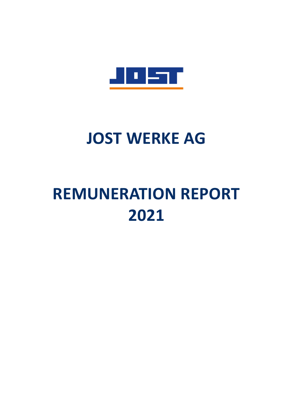

# **JOST WERKE AG**

# **REMUNERATION REPORT 2021**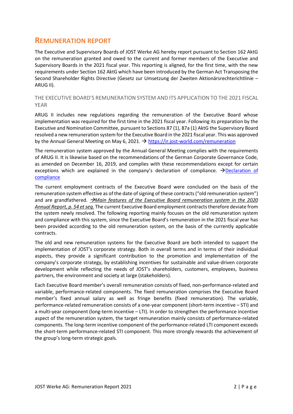## **REMUNERATION REPORT**

The Executive and Supervisory Boards of JOST Werke AG hereby report pursuant to Section 162 AktG on the remuneration granted and owed to the current and former members of the Executive and Supervisory Boards in the 2021 fiscal year. This reporting is aligned, for the first time, with the new requirements under Section 162 AktG which have been introduced by the German Act Transposing the Second Shareholder Rights Directive (Gesetz zur Umsetzung der Zweiten Aktionärsrechterichtlinie – ARUG II).

## THE EXECUTIVE BOARD'S REMUNERATION SYSTEM AND ITS APPLICATION TO THE 2021 FISCAL YEAR

ARUG II includes new regulations regarding the remuneration of the Executive Board whose implementation was required for the first time in the 2021 fiscal year. Following its preparation by the Executive and Nomination Committee, pursuant to Sections 87 (1), 87a (1) AktG the Supervisory Board resolved a new remuneration system for the Executive Board in the 2021 fiscal year. This was approved by the Annual General Meeting on May 6, 2021.  $\rightarrow$  https://ir.jost-world.com/remuneration

The remuneration system approved by the Annual General Meeting complies with the requirements of ARUG II. It is likewise based on the recommendations of the German Corporate Governance Code, as amended on December 16, 2019, and complies with these recommendations except for certain exceptions which are explained in the company's declaration of compliance.  $\rightarrow$ Declaration of **[compliance](https://www.jost-world.com/de/corporate/investor-relations/corporate-governance.html#c4942)** 

The current employment contracts of the Executive Board were concluded on the basis of the remuneration system effective as of the date of signing of these contracts ("old remuneration system") and are grandfathered. →*Main features of the Executive Board remuneration system in the 2020 Annual Report, p. 54 et seq.* The current Executive Board employment contracts therefore deviate from the system newly resolved. The following reporting mainly focuses on the old remuneration system and compliance with this system, since the Executive Board's remuneration in the 2021 fiscal year has been provided according to the old remuneration system, on the basis of the currently applicable contracts.

The old and new remuneration systems for the Executive Board are both intended to support the implementation of JOST's corporate strategy. Both in overall terms and in terms of their individual aspects, they provide a significant contribution to the promotion and implementation of the company's corporate strategy, by establishing incentives for sustainable and value-driven corporate development while reflecting the needs of JOST's shareholders, customers, employees, business partners, the environment and society at large (stakeholders).

Each Executive Board member's overall remuneration consists of fixed, non-performance-related and variable, performance-related components. The fixed remuneration comprises the Executive Board member's fixed annual salary as well as fringe benefits (fixed remuneration). The variable, performance-related remuneration consists of a one-year component (short-term incentive – STI) and a multi-year component (long-term incentive – LTI). In order to strengthen the performance incentive aspect of the remuneration system, the target remuneration mainly consists of performance-related components. The long-term incentive component of the performance-related LTI component exceeds the short-term performance-related STI component. This more strongly rewards the achievement of the group's long-term strategic goals.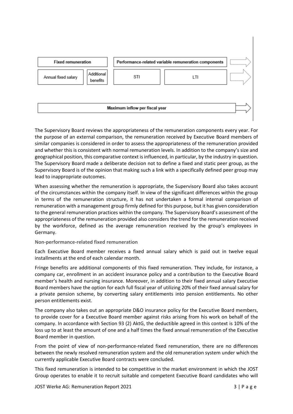

The Supervisory Board reviews the appropriateness of the remuneration components every year. For the purpose of an external comparison, the remuneration received by Executive Board members of similar companies is considered in order to assess the appropriateness of the remuneration provided and whether this is consistent with normal remuneration levels. In addition to the company's size and geographical position, this comparative context is influenced, in particular, by the industry in question. The Supervisory Board made a deliberate decision not to define a fixed and static peer group, as the Supervisory Board is of the opinion that making such a link with a specifically defined peer group may lead to inappropriate outcomes.

When assessing whether the remuneration is appropriate, the Supervisory Board also takes account of the circumstances within the company itself. In view of the significant differences within the group in terms of the remuneration structure, it has not undertaken a formal internal comparison of remuneration with a management group firmly defined for this purpose, but it has given consideration to the general remuneration practices within the company. The Supervisory Board's assessment of the appropriateness of the remuneration provided also considers the trend for the remuneration received by the workforce, defined as the average remuneration received by the group's employees in Germany.

## **Non-performance-related fixed remuneration**

Each Executive Board member receives a fixed annual salary which is paid out in twelve equal installments at the end of each calendar month.

Fringe benefits are additional components of this fixed remuneration. They include, for instance, a company car, enrollment in an accident insurance policy and a contribution to the Executive Board member's health and nursing insurance. Moreover, in addition to their fixed annual salary Executive Board members have the option for each full fiscal year of utilizing 20% of their fixed annual salary for a private pension scheme, by converting salary entitlements into pension entitlements. No other person entitlements exist.

The company also takes out an appropriate D&O insurance policy for the Executive Board members, to provide cover for a Executive Board member against risks arising from his work on behalf of the company. In accordance with Section 93 (2) AktG, the deductible agreed in this context is 10% of the loss up to at least the amount of one and a half times the fixed annual remuneration of the Executive Board member in question.

From the point of view of non-performance-related fixed remuneration, there are no differences between the newly resolved remuneration system and the old remuneration system under which the currently applicable Executive Board contracts were concluded.

This fixed remuneration is intended to be competitive in the market environment in which the JOST Group operates to enable it to recruit suitable and competent Executive Board candidates who will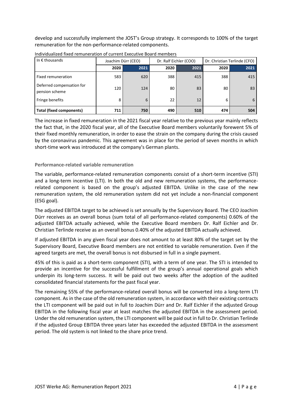develop and successfully implement the JOST's Group strategy. It corresponds to 100% of the target remuneration for the non-performance-related components.

| In $\epsilon$ thousands                     |      | Joachim Dürr (CEO) |      | Dr. Ralf Eichler (COO) | Dr. Christian Terlinde (CFO) |      |  |
|---------------------------------------------|------|--------------------|------|------------------------|------------------------------|------|--|
|                                             | 2020 | 2021               | 2020 | 2021                   | 2020                         | 2021 |  |
| Fixed remuneration                          | 583  | 620                | 388  | 415                    | 388                          | 415  |  |
| Deferred compensation for<br>pension scheme | 120  | 124                | 80   | 83                     | 80                           | 83   |  |
| Fringe benefits                             | 8    | 6                  | 22   | 12                     | 6                            | 6    |  |
| <b>Total (fixed components)</b>             | 711  | 750                | 490  | 510                    | 474                          | 504  |  |

Individualized fixed remuneration of current Executive Board members

The increase in fixed remuneration in the 2021 fiscal year relative to the previous year mainly reflects the fact that, in the 2020 fiscal year, all of the Executive Board members voluntarily forewent 5% of their fixed monthly remuneration, in order to ease the strain on the company during the crisis caused by the coronavirus pandemic. This agreement was in place for the period of seven months in which short-time work was introduced at the company's German plants.

## **Performance-related variable remuneration**

The variable, performance-related remuneration components consist of a short-term incentive (STI) and a long-term incentive (LTI). In both the old and new remuneration systems, the performancerelated component is based on the group's adjusted EBITDA. Unlike in the case of the new remuneration system, the old remuneration system did not yet include a non-financial component (ESG goal).

The adjusted EBITDA target to be achieved is set annually by the Supervisory Board. The CEO Joachim Dürr receives as an overall bonus (sum total of all performance-related components) 0.60% of the adjusted EBITDA actually achieved, while the Executive Board members Dr. Ralf Eichler and Dr. Christian Terlinde receive as an overall bonus 0.40% of the adjusted EBITDA actually achieved.

If adjusted EBITDA in any given fiscal year does not amount to at least 80% of the target set by the Supervisory Board, Executive Board members are not entitled to variable remuneration. Even if the agreed targets are met, the overall bonus is not disbursed in full in a single payment.

45% of this is paid as a short-term component (STI), with a term of one year. The STI is intended to provide an incentive for the successful fulfillment of the group's annual operational goals which underpin its long-term success. It will be paid out two weeks after the adoption of the audited consolidated financial statements for the past fiscal year.

The remaining 55% of the performance-related overall bonus will be converted into a long-term LTI component. As in the case of the old remuneration system, in accordance with their existing contracts the LTI component will be paid out in full to Joachim Dürr and Dr. Ralf Eichler if the adjusted Group EBITDA in the following fiscal year at least matches the adjusted EBITDA in the assessment period. Under the old remuneration system, the LTI component will be paid out in full to Dr. Christian Terlinde if the adjusted Group EBITDA three years later has exceeded the adjusted EBITDA in the assessment period. The old system is not linked to the share price trend.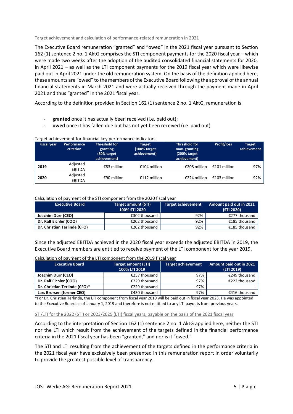Target achievement and calculation of performance-related remuneration in 2021

The Executive Board remuneration "granted" and "owed" in the 2021 fiscal year pursuant to Section 162 (1) sentence 2 no. 1 AktG comprises the STI component payments for the 2020 fiscal year – which were made two weeks after the adoption of the audited consolidated financial statements for 2020, in April 2021 – as well as the LTI component payments for the 2019 fiscal year which were likewise paid out in April 2021 under the old remuneration system. On the basis of the definition applied here, these amounts are "owed" to the members of the Executive Board following the approval of the annual financial statements in March 2021 and were actually received through the payment made in April 2021 and thus "granted" in the 2021 fiscal year.

According to the definition provided in Section 162 (1) sentence 2 no. 1 AktG, remuneration is

- **granted** once it has actually been received (i.e. paid out);
- owed once it has fallen due but has not yet been received (i.e. paid out).

## Target achievement for financial key performance indicators

| <b>Fiscal year</b> | Performance<br>criterion  | <b>Threshold for</b><br>granting<br>(80% target<br>achievement) | <b>Target</b><br>(100% target)<br>achievement) | <b>Threshold for</b><br>max. granting<br>(200% target<br>achievement) | <b>Profit/loss</b> | <b>Target</b><br>achievement |
|--------------------|---------------------------|-----------------------------------------------------------------|------------------------------------------------|-----------------------------------------------------------------------|--------------------|------------------------------|
| 2019               | Adjusted<br><b>EBITDA</b> | €83 million                                                     | €104 million                                   | €208 million                                                          | €101 million       | 97%                          |
| 2020               | Adjusted<br><b>EBITDA</b> | €90 million                                                     | €112 million                                   | €224 million                                                          | $£103$ million     | 92%                          |

### Calculation of payment of the STI component from the 2020 fiscal year

| <b>Executive Board</b>       | Target amount (STI)<br>100% STI 2020 | <b>Target achievement</b> | <b>Amount paid out in 2021</b><br>(STI 2020) |
|------------------------------|--------------------------------------|---------------------------|----------------------------------------------|
| Joachim Dürr (CEO)           | €302 thousand                        | 92%                       | €277 thousand                                |
| Dr. Ralf Eichler (COO)       | €202 thousand                        | 92%                       | €185 thousand                                |
| Dr. Christian Terlinde (CFO) | €202 thousand                        | 92%                       | €185 thousand                                |

Since the adjusted EBITDA achieved in the 2020 fiscal year exceeds the adjusted EBITDA in 2019, the Executive Board members are entitled to receive payment of the LTI component for the year 2019.

#### Calculation of payment of the LTI component from the 2019 fiscal year

| <b>Executive Board</b>        | <b>Target amount (LTI)</b><br>100% LTI 2019 | <b>Target achievement</b> | Amount paid out in 2021<br>(LTI 2019) |
|-------------------------------|---------------------------------------------|---------------------------|---------------------------------------|
| Joachim Dürr (CEO)            | €257 thousand                               | 97%                       | €249 thousand                         |
| Dr. Ralf Eichler (COO)        | €229 thousand                               | 97%                       | €222 thousand                         |
| Dr. Christian Terlinde (CFO)* | €229 thousand                               | 97%                       |                                       |
| Lars Brorsen (former CEO)     | €430 thousand                               | 97%                       | €416 thousand                         |

\*For Dr. Christian Terlinde, the LTI component from fiscal year 2019 will be paid out in fiscal year 2023. He was appointed to the Executive Board as of January 1, 2019 and therefore is not entitled to any LTI payouts from previous years.

### STI/LTI for the 2022 (STI) or 2023/2025 (LTI) fiscal years, payable on the basis of the 2021 fiscal year

According to the interpretation of Section 162 (1) sentence 2 no. 1 AktG applied here, neither the STI nor the LTI which result from the achievement of the targets defined in the financial performance criteria in the 2021 fiscal year has been "granted," and nor is it "owed."

The STI and LTI resulting from the achievement of the targets defined in the performance criteria in the 2021 fiscal year have exclusively been presented in this remuneration report in order voluntarily to provide the greatest possible level of transparency.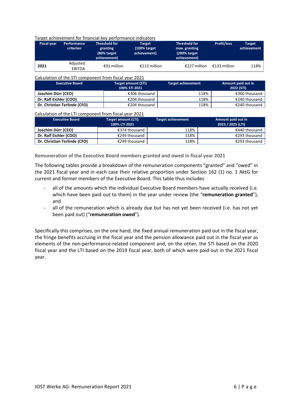#### Target achievement for financial key performance indicators

| <b>Fiscal year</b> | Performance<br>criterion  | Threshold for<br>granting<br>(80% target<br>achievement) | Target<br>$(100%$ target<br>achievement) | <b>Threshold for</b><br>max. granting<br>(200% target)<br>achievement) | <b>Profit/loss</b> | <b>Target</b><br>achievement |
|--------------------|---------------------------|----------------------------------------------------------|------------------------------------------|------------------------------------------------------------------------|--------------------|------------------------------|
| 2021               | Adjusted<br><b>EBITDA</b> | €91 million                                              | €113 million                             | €227 million                                                           | €133 million       | 118%                         |

#### Calculation of the STI component from fiscal year 2021

| <b>Executive Board</b>       | <b>Target amount (STI)</b><br>100% STI 2021 | <b>Target achievement</b> | Amount paid out in<br>2022 (STI) |  |
|------------------------------|---------------------------------------------|---------------------------|----------------------------------|--|
| Joachim Dürr (CEO)           | €306 thousand                               | 118%                      | €360 thousand                    |  |
| Dr. Ralf Eichler (COO)       | €204 thousand                               | 118%                      | €240 thousand                    |  |
| Dr. Christian Terlinde (CFO) | €204 thousand                               | 118%                      | €240 thousand                    |  |

#### Calculation of the LTI component from fiscal year 2021

| <b>Executive Board</b>       | Target amount (LTI)<br>100% LTI 2021 | <b>Target achievement</b> | Amount paid out in<br>2023 / 2025 (LTI) |
|------------------------------|--------------------------------------|---------------------------|-----------------------------------------|
| Joachim Dürr (CEO)           | €374 thousand                        | 118%                      | €440 thousand                           |
| Dr. Ralf Eichler (COO)       | €249 thousand                        | 118%                      | €293 thousand                           |
| Dr. Christian Terlinde (CFO) | €249 thousand                        | 118%                      | €293 thousand                           |

**Remuneration of the Executive Board members granted and owed in fiscal year 2021** 

The following tables provide a breakdown of the remuneration components "granted" and "owed" in the 2021 fiscal year and in each case their relative proportion under Section 162 (1) no. 1 AktG for current and former members of the Executive Board. This table thus includes

- all of the amounts which the individual Executive Board members have actually received (i.e. which have been paid out to them) in the year under review (the "**remuneration granted**"), and
- all of the remuneration which is already due but has not yet been received (i.e. has not yet been paid out) ("**remuneration owed**").

Specifically this comprises, on the one hand, the fixed annual remuneration paid out in the fiscal year, the fringe benefits accruing in the fiscal year and the pension allowance paid out in the fiscal year as elements of the non-performance-related component and, on the other, the STI based on the 2020 fiscal year and the LTI based on the 2019 fiscal year, both of which were paid out in the 2021 fiscal year.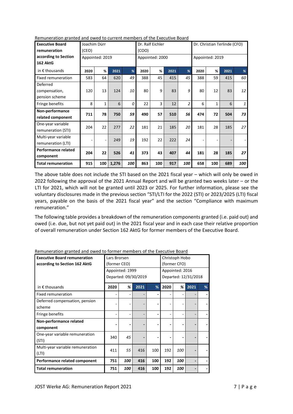| <b>Executive Board</b>     | Joachim Dürr |                 |       |     | Dr. Ralf Eichler |                 |      |                | Dr. Christian Terlinde (CFO) |                 |      |              |
|----------------------------|--------------|-----------------|-------|-----|------------------|-----------------|------|----------------|------------------------------|-----------------|------|--------------|
| remuneration               | (CEO)        |                 |       |     | (COO)            |                 |      |                |                              |                 |      |              |
| according to Section       |              | Appointed: 2019 |       |     |                  | Appointed: 2000 |      |                |                              | Appointed: 2019 |      |              |
| 162 AktG                   |              |                 |       |     |                  |                 |      |                |                              |                 |      |              |
| in $\epsilon$ thousands    | 2020         | %               | 2021  | %   | 2020             | %               | 2021 | %              | 2020                         | %               | 2021 | %            |
| Fixed remuneration         | 583          | 64              | 620   | 49  | 388              | 45              | 415  | 45             | 388                          | 59              | 415  | 60           |
| Deferred                   |              |                 |       |     |                  |                 |      |                |                              |                 |      |              |
| compensation,              | 120          | 13              | 124   | 10  | 80               | 9               | 83   | 9              | 80                           | 12              | 83   | 12           |
| pension scheme             |              |                 |       |     |                  |                 |      |                |                              |                 |      |              |
| Fringe benefits            | 8            | $\mathbf{1}$    | 6     | 0   | 22               | 3               | 12   | $\overline{c}$ | 6                            | $\mathbf{1}$    | 6    | $\mathbf{1}$ |
| Non-performance            | 711          | 78              | 750   | 59  | 490              | 57              | 510  | 56             | 474                          | 72              | 504  | 73           |
| related component          |              |                 |       |     |                  |                 |      |                |                              |                 |      |              |
| One-year variable          | 204          | 22              | 277   | 22  | 181              | 21              | 185  | 20             | 181                          | 28              | 185  | 27           |
| remuneration (STI)         |              |                 |       |     |                  |                 |      |                |                              |                 |      |              |
| Multi-year variable        |              |                 | 249   | 19  | 192              | 22              | 222  | 24             |                              |                 |      |              |
| remuneration (LTI)         |              |                 |       |     |                  |                 |      |                |                              |                 |      |              |
| <b>Performance related</b> | 204          | 22              | 526   | 41  | 373              | 43              | 407  | 44             | 181                          | 28              | 185  | 27           |
| component                  |              |                 |       |     |                  |                 |      |                |                              |                 |      |              |
| <b>Total remuneration</b>  | 915          | 100             | 1,276 | 100 | 863              | 100             | 917  | 100            | 658                          | 100             | 689  | 100          |

Remuneration granted and owed to current members of the Executive Board

The above table does not include the STI based on the 2021 fiscal year – which will only be owed in 2022 following the approval of the 2021 Annual Report and will be granted two weeks later – or the LTI for 2021, which will not be granted until 2023 or 2025. For further information, please see the voluntary disclosures made in the previous section "STI/LTI for the 2022 (STI) or 2023/2025 (LTI) fiscal years, payable on the basis of the 2021 fiscal year" and the section "Compliance with maximum remuneration."

The following table provides a breakdown of the remuneration components granted (i.e. paid out) and owed (i.e. due, but not yet paid out) in the 2021 fiscal year and in each case their relative proportion of overall remuneration under Section 162 AktG for former members of the Executive Board.

| <b>Executive Board remuneration</b>       | Lars Brorsen             |                 |                      | Christoph Hobo |              |                 |                      |   |
|-------------------------------------------|--------------------------|-----------------|----------------------|----------------|--------------|-----------------|----------------------|---|
| according to Section 162 AktG             | (former CEO)             |                 |                      |                | (former CFO) |                 |                      |   |
|                                           |                          | Appointed: 1999 |                      |                |              | Appointed: 2016 |                      |   |
|                                           |                          |                 | Departed: 09/30/2019 |                |              |                 | Departed: 12/31/2018 |   |
| in $\epsilon$ thousands                   | 2020                     | %               | 2021                 | %              | 2020         | %               | 2021                 | % |
| Fixed remuneration                        |                          |                 |                      |                |              |                 |                      |   |
| Deferred compensation, pension            |                          |                 |                      |                |              |                 |                      |   |
| scheme                                    |                          |                 |                      |                |              |                 |                      |   |
| Fringe benefits                           |                          |                 |                      |                |              |                 |                      |   |
| Non-performance related<br>component      |                          |                 |                      |                |              |                 |                      |   |
| One-year variable remuneration<br>(STI)   | 340                      | 45              |                      |                |              |                 |                      |   |
| Multi-year variable remuneration<br>(LTI) | 411                      | 55              | 416                  | 100            | 192          | 100             |                      |   |
| Performance related component             | 100<br>416<br>100<br>751 |                 |                      | 192            | 100          |                 |                      |   |
| <b>Total remuneration</b>                 | 751                      | 100             | 416                  | 100            | 192          | 100             |                      |   |

Remuneration granted and owed to former members of the Executive Board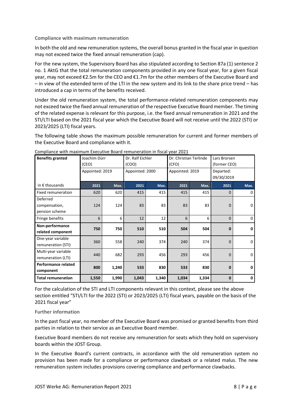## **Compliance with maximum remuneration**

In both the old and new remuneration systems, the overall bonus granted in the fiscal year in question may not exceed twice the fixed annual remuneration (cap).

For the new system, the Supervisory Board has also stipulated according to Section 87a (1) sentence 2 no. 1 AktG that the total remuneration components provided in any one fiscal year, for a given fiscal year, may not exceed €2.5m for the CEO and €1.7m for the other members of the Executive Board and – in view of the extended term of the LTI in the new system and its link to the share price trend – has introduced a cap in terms of the benefits received.

Under the old remuneration system, the total performance-related remuneration components may not exceed twice the fixed annual remuneration of the respective Executive Board member. The timing of the related expense is relevant for this purpose, i.e. the fixed annual remuneration in 2021 and the STI/LTI based on the 2021 fiscal year which the Executive Board will not receive until the 2022 (STI) or 2023/2025 (LTI) fiscal years.

The following table shows the maximum possible remuneration for current and former members of the Executive Board and compliance with it.

| <b>Benefits granted</b>                   | Joachim Dürr<br>(CEO) |       | (COO) | Dr. Ralf Eichler |       | Dr. Christian Terlinde<br>(CFO) |              | Lars Brorsen<br>(former CEO) |  |  |
|-------------------------------------------|-----------------------|-------|-------|------------------|-------|---------------------------------|--------------|------------------------------|--|--|
|                                           | Appointed: 2019       |       |       | Appointed: 2000  |       | Appointed: 2019                 | Departed:    | 09/30/2019                   |  |  |
| in $\epsilon$ thousands                   | 2021                  | Max.  | 2021  | Max.             | 2021  | Max.                            | 2021         | Max.                         |  |  |
| Fixed remuneration                        | 620                   | 620   | 415   | 415              | 415   | 415                             | $\Omega$     | 0                            |  |  |
| Deferred<br>compensation,                 | 124                   | 124   | 83    | 83               | 83    | 83                              | $\mathbf 0$  | $\overline{0}$               |  |  |
| pension scheme                            |                       |       |       |                  |       |                                 |              |                              |  |  |
| Fringe benefits                           | 6                     | 6     | 12    | 12               | 6     | 6                               | 0            | $\overline{0}$               |  |  |
| Non-performance<br>related component      | 750                   | 750   | 510   | 510              | 504   | 504                             | 0            | 0                            |  |  |
| One-year variable<br>remuneration (STI)   | 360                   | 558   | 240   | 374              | 240   | 374                             | $\Omega$     | $\Omega$                     |  |  |
| Multi-year variable<br>remuneration (LTI) | 440                   | 682   | 293   | 456              | 293   | 456                             | $\Omega$     | $\Omega$                     |  |  |
| <b>Performance related</b><br>component   | 800                   | 1,240 | 533   | 830              | 533   | 830                             | $\bf{0}$     | 0                            |  |  |
| <b>Total remuneration</b>                 | 1,550                 | 1,990 | 1,043 | 1,340            | 1,034 | 1,334                           | $\mathbf{0}$ | 0                            |  |  |

Compliance with maximum Executive Board remuneration in fiscal year 2021

For the calculation of the STI and LTI components relevant in this context, please see the above section entitled "STI/LTI for the 2022 (STI) or 2023/2025 (LTI) fiscal years, payable on the basis of the 2021 fiscal year"

## **Further information**

In the past fiscal year, no member of the Executive Board was promised or granted benefits from third parties in relation to their service as an Executive Board member.

Executive Board members do not receive any remuneration for seats which they hold on supervisory boards within the JOST Group.

In the Executive Board's current contracts, in accordance with the old remuneration system no provision has been made for a compliance or performance clawback or a related malus. The new remuneration system includes provisions covering compliance and performance clawbacks.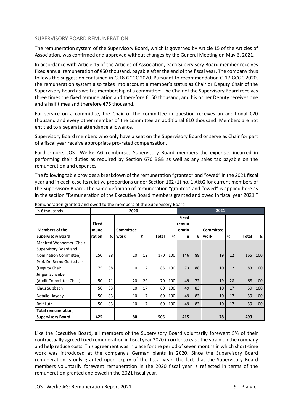## SUPERVISORY BOARD REMUNERATION

The remuneration system of the Supervisory Board, which is governed by Article 15 of the Articles of Association, was confirmed and approved without changes by the General Meeting on May 6, 2021.

In accordance with Article 15 of the Articles of Association, each Supervisory Board member receives fixed annual remuneration of €50 thousand, payable after the end of the fiscal year. The company thus follows the suggestion contained in G.18 GCGC 2020. Pursuant to recommendation G.17 GCGC 2020, the remuneration system also takes into account a member's status as Chair or Deputy Chair of the Supervisory Board as well as membership of a committee: The Chair of the Supervisory Board receives three times the fixed remuneration and therefore €150 thousand, and his or her Deputy receives one and a half times and therefore €75 thousand.

For service on a committee, the Chair of the committee in question receives an additional €20 thousand and every other member of the committee an additional €10 thousand. Members are not entitled to a separate attendance allowance.

Supervisory Board members who only have a seat on the Supervisory Board or serve as Chair for part of a fiscal year receive appropriate pro-rated compensation.

Furthermore, JOST Werke AG reimburses Supervisory Board members the expenses incurred in performing their duties as required by Section 670 BGB as well as any sales tax payable on the remuneration and expenses.

The following table provides a breakdown of the remuneration "granted" and "owed" in the 2021 fiscal year and in each case its relative proportions under Section 162 (1) no. 1 AktG for current members of the Supervisory Board. The same definition of remuneration "granted" and "owed" is applied here as in the section "Remuneration of the Executive Board members granted and owed in fiscal year 2021."

| in $\epsilon$ thousands    |              | 2020 |                  |    |       |     | 2021         |    |                  |    |              |     |
|----------------------------|--------------|------|------------------|----|-------|-----|--------------|----|------------------|----|--------------|-----|
|                            |              |      |                  |    |       |     | <b>Fixed</b> |    |                  |    |              |     |
|                            | <b>Fixed</b> |      |                  |    |       |     | remun        |    |                  |    |              |     |
| <b>Members of the</b>      | emune        |      | <b>Committee</b> |    |       |     | eratio       |    | <b>Committee</b> |    |              |     |
| <b>Supervisory Board</b>   | ration       | %    | work             | %  | Total | %   | n            | %  | work             | %  | <b>Total</b> | %   |
| Manfred Wennemer (Chair:   |              |      |                  |    |       |     |              |    |                  |    |              |     |
| Supervisory Board and      |              |      |                  |    |       |     |              |    |                  |    |              |     |
| Nomination Committee)      | 150          | 88   | 20               | 12 | 170   | 100 | 146          | 88 | 19               | 12 | 165          | 100 |
| Prof. Dr. Bernd Gottschalk |              |      |                  |    |       |     |              |    |                  |    |              |     |
| (Deputy Chair)             | 75           | 88   | 10               | 12 | 85    | 100 | 73           | 88 | 10               | 12 | 83           | 100 |
| Jürgen Schaubel            |              |      |                  |    |       |     |              |    |                  |    |              |     |
| (Audit Committee Chair)    | 50           | 71   | 20               | 29 | 70    | 100 | 49           | 72 | 19               | 28 | 68           | 100 |
| Klaus Sulzbach             | 50           | 83   | 10               | 17 | 60    | 100 | 49           | 83 | 10               | 17 | 59           | 100 |
| Natalie Hayday             | 50           | 83   | 10               | 17 | 60    | 100 | 49           | 83 | 10               | 17 | 59           | 100 |
| <b>Rolf Lutz</b>           | 50           | 83   | 10               | 17 | 60    | 100 | 49           | 83 | 10               | 17 | 59           | 100 |
| Total remuneration,        |              |      |                  |    |       |     |              |    |                  |    |              |     |
| <b>Supervisory Board</b>   | 425          |      | 80               |    | 505   |     | 415          |    | 78               |    | 493          |     |

Remuneration granted and owed to the members of the Supervisory Board

Like the Executive Board, all members of the Supervisory Board voluntarily forewent 5% of their contractually agreed fixed remuneration in fiscal year 2020 in order to ease the strain on the company and help reduce costs. This agreement was in place for the period of seven months in which short-time work was introduced at the company's German plants in 2020. Since the Supervisory Board remuneration is only granted upon expiry of the fiscal year, the fact that the Supervisory Board members voluntarily forewent remuneration in the 2020 fiscal year is reflected in terms of the remuneration granted and owed in the 2021 fiscal year.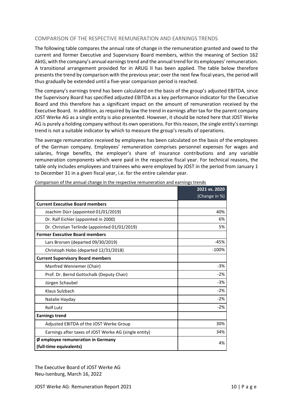## COMPARISON OF THE RESPECTIVE REMUNERATION AND EARNINGS TRENDS

The following table compares the annual rate of change in the remuneration granted and owed to the current and former Executive and Supervisory Board members, within the meaning of Section 162 AktG, with the company's annual earnings trend and the annual trend for its employees' remuneration. A transitional arrangement provided for in ARUG II has been applied. The table below therefore presents the trend by comparison with the previous year; over the next few fiscal years, the period will thus gradually be extended until a five-year comparison period is reached.

The company's earnings trend has been calculated on the basis of the group's adjusted EBITDA, since the Supervisory Board has specified adjusted EBITDA as a key performance indicator for the Executive Board and this therefore has a significant impact on the amount of remuneration received by the Executive Board. In addition, as required by law the trend in earnings after tax for the parent company JOST Werke AG as a single entity is also presented. However, it should be noted here that JOST Werke AG is purely a holding company without its own operations. For this reason, the single entity's earnings trend is not a suitable indicator by which to measure the group's results of operations.

The average remuneration received by employees has been calculated on the basis of the employees of the German company. Employees' remuneration comprises personnel expenses for wages and salaries, fringe benefits, the employer's share of insurance contributions and any variable remuneration components which were paid in the respective fiscal year. For technical reasons, the table only includes employees and trainees who were employed by JOST in the period from January 1 to December 31 in a given fiscal year, i.e. for the entire calendar year.

|                                                       | 2021 vs. 2020 |
|-------------------------------------------------------|---------------|
|                                                       | (Change in %) |
| <b>Current Executive Board members</b>                |               |
| Joachim Dürr (appointed 01/01/2019)                   | 40%           |
| Dr. Ralf Eichler (appointed in 2000)                  | 6%            |
| Dr. Christian Terlinde (appointed 01/01/2019)         | 5%            |
| <b>Former Executive Board members</b>                 |               |
| Lars Brorsen (departed 09/30/2019)                    | $-45%$        |
| Christoph Hobo (departed 12/31/2018)                  | $-100%$       |
| <b>Current Supervisory Board members</b>              |               |
| Manfred Wennemer (Chair)                              | $-3%$         |
| Prof. Dr. Bernd Gottschalk (Deputy Chair)             | $-2%$         |
| Jürgen Schaubel                                       | $-3%$         |
| Klaus Sulzbach                                        | $-2%$         |
| Natalie Hayday                                        | $-2%$         |
| <b>Rolf Lutz</b>                                      | $-2%$         |
| <b>Earnings trend</b>                                 |               |
| Adjusted EBITDA of the JOST Werke Group               | 30%           |
| Earnings after taxes of JOST Werke AG (single entity) | 34%           |
| Ø employee remuneration in Germany                    | 4%            |
| (full-time equivalents)                               |               |

Comparison of the annual change in the respective remuneration and earnings trends

The Executive Board of JOST Werke AG Neu-Isenburg, March 16, 2022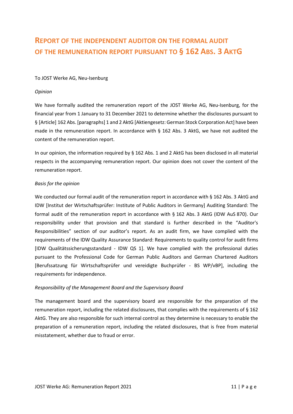## **REPORT OF THE INDEPENDENT AUDITOR ON THE FORMAL AUDIT OF THE REMUNERATION REPORT PURSUANT TO § 162 ABS. 3 AKTG**

## To JOST Werke AG, Neu-Isenburg

## *Opinion*

We have formally audited the remuneration report of the JOST Werke AG, Neu-Isenburg, for the financial year from 1 January to 31 December 2021 to determine whether the disclosures pursuant to § [Article] 162 Abs. [paragraphs] 1 and 2 AktG [Aktiengesetz: German Stock Corporation Act] have been made in the remuneration report. In accordance with  $\S$  162 Abs. 3 AktG, we have not audited the content of the remuneration report.

In our opinion, the information required by § 162 Abs. 1 and 2 AktG has been disclosed in all material respects in the accompanying remuneration report. Our opinion does not cover the content of the remuneration report.

## *Basis for the opinion*

We conducted our formal audit of the remuneration report in accordance with § 162 Abs. 3 AktG and IDW [Institut der Wirtschaftsprüfer: Institute of Public Auditors in Germany] Auditing Standard: The formal audit of the remuneration report in accordance with § 162 Abs. 3 AktG (IDW AuS 870). Our responsibility under that provision and that standard is further described in the "Auditor's Responsibilities" section of our auditor's report. As an audit firm, we have complied with the requirements of the IDW Quality Assurance Standard: Requirements to quality control for audit firms [IDW Qualitätssicherungsstandard - IDW QS 1]. We have complied with the professional duties pursuant to the Professional Code for German Public Auditors and German Chartered Auditors [Berufssatzung für Wirtschaftsprüfer und vereidigte Buchprüfer - BS WP/vBP], including the requirements for independence.

## *Responsibility of the Management Board and the Supervisory Board*

The management board and the supervisory board are responsible for the preparation of the remuneration report, including the related disclosures, that complies with the requirements of § 162 AktG. They are also responsible for such internal control as they determine is necessary to enable the preparation of a remuneration report, including the related disclosures, that is free from material misstatement, whether due to fraud or error.